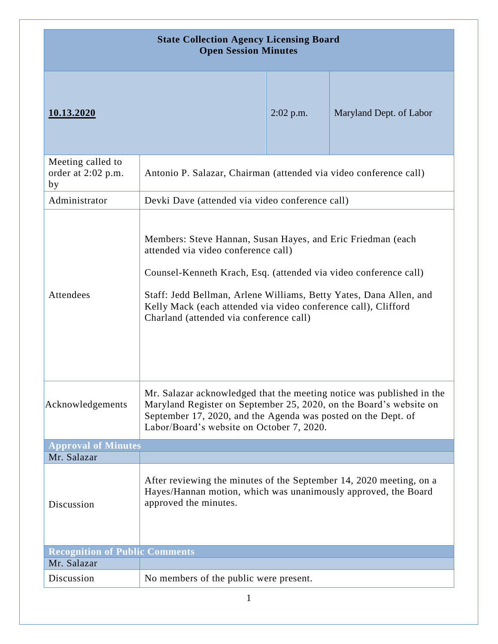| <b>State Collection Agency Licensing Board</b><br><b>Open Session Minutes</b> |                                                                                                                                                                                                                                                                                                                                                           |             |                         |
|-------------------------------------------------------------------------------|-----------------------------------------------------------------------------------------------------------------------------------------------------------------------------------------------------------------------------------------------------------------------------------------------------------------------------------------------------------|-------------|-------------------------|
| 10.13.2020                                                                    |                                                                                                                                                                                                                                                                                                                                                           | $2:02$ p.m. | Maryland Dept. of Labor |
| Meeting called to<br>order at 2:02 p.m.<br>by                                 | Antonio P. Salazar, Chairman (attended via video conference call)                                                                                                                                                                                                                                                                                         |             |                         |
| Administrator                                                                 | Devki Dave (attended via video conference call)                                                                                                                                                                                                                                                                                                           |             |                         |
| Attendees                                                                     | Members: Steve Hannan, Susan Hayes, and Eric Friedman (each<br>attended via video conference call)<br>Counsel-Kenneth Krach, Esq. (attended via video conference call)<br>Staff: Jedd Bellman, Arlene Williams, Betty Yates, Dana Allen, and<br>Kelly Mack (each attended via video conference call), Clifford<br>Charland (attended via conference call) |             |                         |
| Acknowledgements                                                              | Mr. Salazar acknowledged that the meeting notice was published in the<br>Maryland Register on September 25, 2020, on the Board's website on<br>September 17, 2020, and the Agenda was posted on the Dept. of<br>Labor/Board's website on October 7, 2020.                                                                                                 |             |                         |
| <b>Approval of Minutes</b>                                                    |                                                                                                                                                                                                                                                                                                                                                           |             |                         |
| Mr. Salazar                                                                   |                                                                                                                                                                                                                                                                                                                                                           |             |                         |
| Discussion                                                                    | After reviewing the minutes of the September 14, 2020 meeting, on a<br>Hayes/Hannan motion, which was unanimously approved, the Board<br>approved the minutes.                                                                                                                                                                                            |             |                         |
| <b>Recognition of Public Comments</b>                                         |                                                                                                                                                                                                                                                                                                                                                           |             |                         |
| Mr. Salazar                                                                   |                                                                                                                                                                                                                                                                                                                                                           |             |                         |
| Discussion                                                                    | No members of the public were present.                                                                                                                                                                                                                                                                                                                    |             |                         |
| $\mathbf 1$                                                                   |                                                                                                                                                                                                                                                                                                                                                           |             |                         |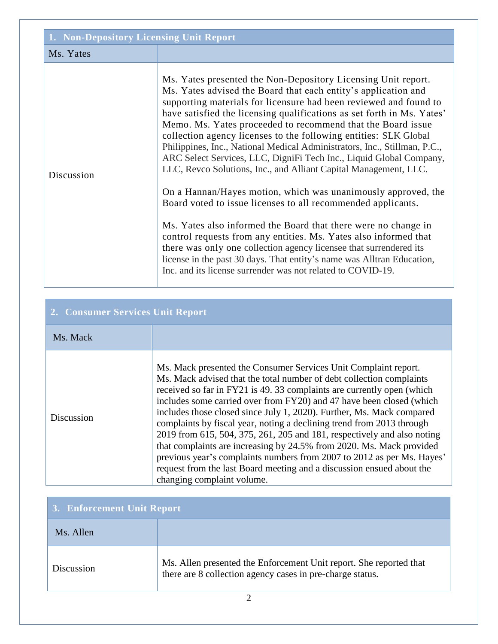| 1. Non-Depository Licensing Unit Report |                                                                                                                                                                                                                                                                                                                                                                                                                                                                                                                                                                                                                                                                                                                                                                                                                                                                                                                                                                                                                                                                                                                                 |  |
|-----------------------------------------|---------------------------------------------------------------------------------------------------------------------------------------------------------------------------------------------------------------------------------------------------------------------------------------------------------------------------------------------------------------------------------------------------------------------------------------------------------------------------------------------------------------------------------------------------------------------------------------------------------------------------------------------------------------------------------------------------------------------------------------------------------------------------------------------------------------------------------------------------------------------------------------------------------------------------------------------------------------------------------------------------------------------------------------------------------------------------------------------------------------------------------|--|
| Ms. Yates                               |                                                                                                                                                                                                                                                                                                                                                                                                                                                                                                                                                                                                                                                                                                                                                                                                                                                                                                                                                                                                                                                                                                                                 |  |
| Discussion                              | Ms. Yates presented the Non-Depository Licensing Unit report.<br>Ms. Yates advised the Board that each entity's application and<br>supporting materials for licensure had been reviewed and found to<br>have satisfied the licensing qualifications as set forth in Ms. Yates'<br>Memo. Ms. Yates proceeded to recommend that the Board issue<br>collection agency licenses to the following entities: SLK Global<br>Philippines, Inc., National Medical Administrators, Inc., Stillman, P.C.,<br>ARC Select Services, LLC, DigniFi Tech Inc., Liquid Global Company,<br>LLC, Revco Solutions, Inc., and Alliant Capital Management, LLC.<br>On a Hannan/Hayes motion, which was unanimously approved, the<br>Board voted to issue licenses to all recommended applicants.<br>Ms. Yates also informed the Board that there were no change in<br>control requests from any entities. Ms. Yates also informed that<br>there was only one collection agency licensee that surrendered its<br>license in the past 30 days. That entity's name was Alltran Education,<br>Inc. and its license surrender was not related to COVID-19. |  |

## **2. Consumer Services Unit Report**

| Ms. Mack          |                                                                                                                                                                                                                                                                                                                                                                                                                                                                                                                                                                                                                                                                                                                                                                                |
|-------------------|--------------------------------------------------------------------------------------------------------------------------------------------------------------------------------------------------------------------------------------------------------------------------------------------------------------------------------------------------------------------------------------------------------------------------------------------------------------------------------------------------------------------------------------------------------------------------------------------------------------------------------------------------------------------------------------------------------------------------------------------------------------------------------|
| <b>Discussion</b> | Ms. Mack presented the Consumer Services Unit Complaint report.<br>Ms. Mack advised that the total number of debt collection complaints<br>received so far in FY21 is 49.33 complaints are currently open (which<br>includes some carried over from FY20) and 47 have been closed (which<br>includes those closed since July 1, 2020). Further, Ms. Mack compared<br>complaints by fiscal year, noting a declining trend from 2013 through<br>2019 from 615, 504, 375, 261, 205 and 181, respectively and also noting<br>that complaints are increasing by 24.5% from 2020. Ms. Mack provided<br>previous year's complaints numbers from 2007 to 2012 as per Ms. Hayes'<br>request from the last Board meeting and a discussion ensued about the<br>changing complaint volume. |

| 3. Enforcement Unit Report |                                                                                                                                 |
|----------------------------|---------------------------------------------------------------------------------------------------------------------------------|
| Ms. Allen                  |                                                                                                                                 |
| Discussion                 | Ms. Allen presented the Enforcement Unit report. She reported that<br>there are 8 collection agency cases in pre-charge status. |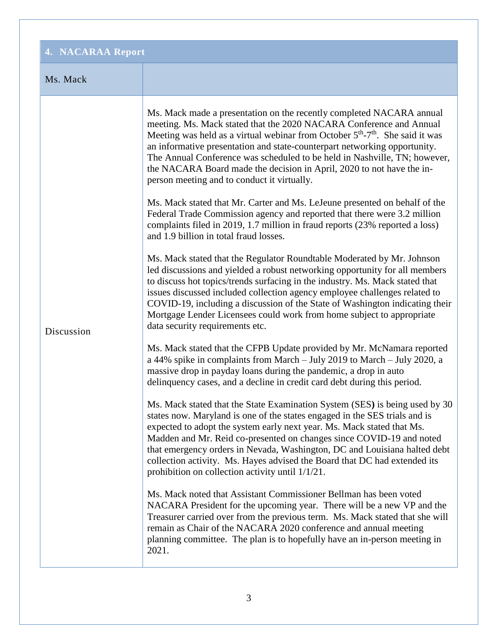| 4. NACARAA Report |                                                                                                                                                                                                                                                                                                                                                                                                                                                                                                                                        |  |
|-------------------|----------------------------------------------------------------------------------------------------------------------------------------------------------------------------------------------------------------------------------------------------------------------------------------------------------------------------------------------------------------------------------------------------------------------------------------------------------------------------------------------------------------------------------------|--|
| Ms. Mack          |                                                                                                                                                                                                                                                                                                                                                                                                                                                                                                                                        |  |
| Discussion        | Ms. Mack made a presentation on the recently completed NACARA annual<br>meeting. Ms. Mack stated that the 2020 NACARA Conference and Annual<br>Meeting was held as a virtual webinar from October 5 <sup>th</sup> -7 <sup>th</sup> . She said it was<br>an informative presentation and state-counterpart networking opportunity.<br>The Annual Conference was scheduled to be held in Nashville, TN; however,<br>the NACARA Board made the decision in April, 2020 to not have the in-<br>person meeting and to conduct it virtually. |  |
|                   | Ms. Mack stated that Mr. Carter and Ms. LeJeune presented on behalf of the<br>Federal Trade Commission agency and reported that there were 3.2 million<br>complaints filed in 2019, 1.7 million in fraud reports (23% reported a loss)<br>and 1.9 billion in total fraud losses.                                                                                                                                                                                                                                                       |  |
|                   | Ms. Mack stated that the Regulator Roundtable Moderated by Mr. Johnson<br>led discussions and yielded a robust networking opportunity for all members<br>to discuss hot topics/trends surfacing in the industry. Ms. Mack stated that<br>issues discussed included collection agency employee challenges related to<br>COVID-19, including a discussion of the State of Washington indicating their<br>Mortgage Lender Licensees could work from home subject to appropriate<br>data security requirements etc.                        |  |
|                   | Ms. Mack stated that the CFPB Update provided by Mr. McNamara reported<br>a 44% spike in complaints from March - July 2019 to March - July 2020, a<br>massive drop in payday loans during the pandemic, a drop in auto<br>delinquency cases, and a decline in credit card debt during this period.                                                                                                                                                                                                                                     |  |
|                   | Ms. Mack stated that the State Examination System (SES) is being used by 30<br>states now. Maryland is one of the states engaged in the SES trials and is<br>expected to adopt the system early next year. Ms. Mack stated that Ms.<br>Madden and Mr. Reid co-presented on changes since COVID-19 and noted<br>that emergency orders in Nevada, Washington, DC and Louisiana halted debt<br>collection activity. Ms. Hayes advised the Board that DC had extended its<br>prohibition on collection activity until 1/1/21.              |  |
|                   | Ms. Mack noted that Assistant Commissioner Bellman has been voted<br>NACARA President for the upcoming year. There will be a new VP and the<br>Treasurer carried over from the previous term. Ms. Mack stated that she will<br>remain as Chair of the NACARA 2020 conference and annual meeting<br>planning committee. The plan is to hopefully have an in-person meeting in<br>2021.                                                                                                                                                  |  |